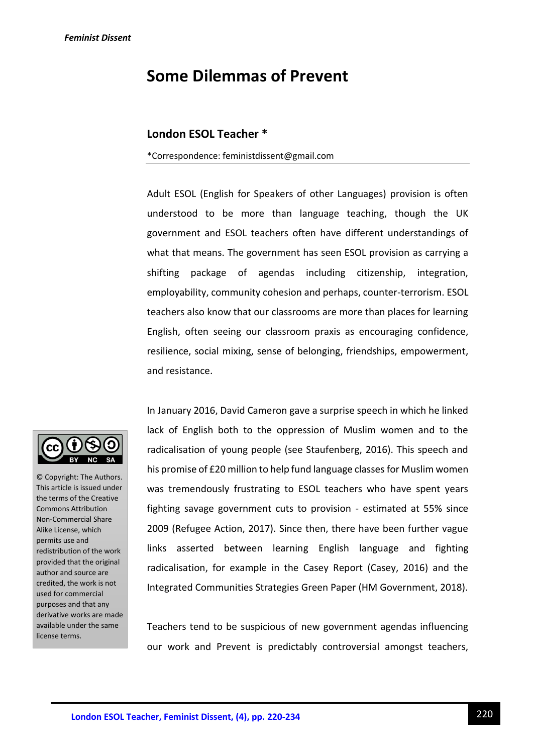# **Some Dilemmas of Prevent**

# **London ESOL Teacher \***

#### \*Correspondence: feministdissent@gmail.com

Adult ESOL (English for Speakers of other Languages) provision is often understood to be more than language teaching, though the UK government and ESOL teachers often have different understandings of what that means. The government has seen ESOL provision as carrying a shifting package of agendas including citizenship, integration, employability, community cohesion and perhaps, counter-terrorism. ESOL teachers also know that our classrooms are more than places for learning English, often seeing our classroom praxis as encouraging confidence, resilience, social mixing, sense of belonging, friendships, empowerment, and resistance.



© Copyright: The Authors. This article is issued under the terms of the Creative Commons Attribution Non-Commercial Share Alike License, which permits use and redistribution of the work provided that the original author and source are credited, the work is not used for commercial purposes and that any derivative works are made available under the same license terms.

In January 2016, David Cameron gave a surprise speech in which he linked lack of English both to the oppression of Muslim women and to the radicalisation of young people (see Staufenberg, 2016). This speech and his promise of £20 million to help fund language classes for Muslim women was tremendously frustrating to ESOL teachers who have spent years fighting savage government cuts to provision - estimated at 55% since 2009 (Refugee Action, 2017). Since then, there have been further vague links asserted between learning English language and fighting radicalisation, for example in the Casey Report (Casey, 2016) and the Integrated Communities Strategies Green Paper (HM Government, 2018).

Teachers tend to be suspicious of new government agendas influencing our work and Prevent is predictably controversial amongst teachers,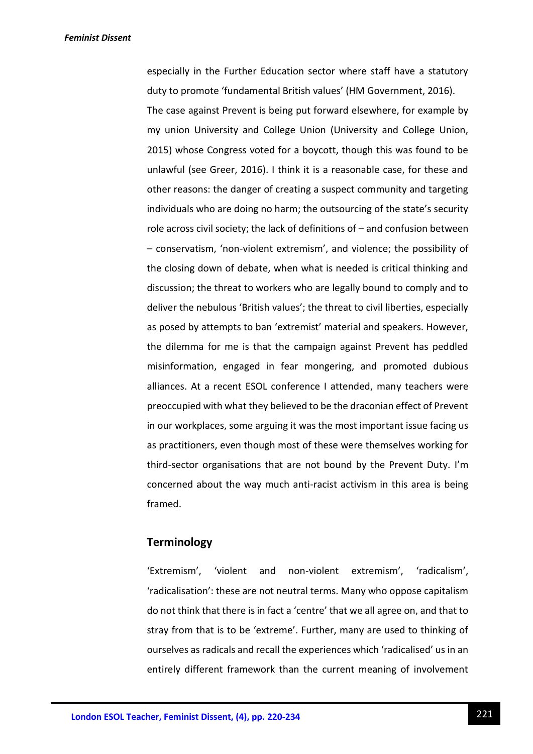especially in the Further Education sector where staff have a statutory duty to promote 'fundamental British values' (HM Government, 2016). The case against Prevent is being put forward elsewhere, for example by my union University and College Union (University and College Union, 2015) whose Congress voted for a boycott, though this was found to be unlawful (see Greer, 2016). I think it is a reasonable case, for these and other reasons: the danger of creating a suspect community and targeting individuals who are doing no harm; the outsourcing of the state's security role across civil society; the lack of definitions of – and confusion between – conservatism, 'non-violent extremism', and violence; the possibility of the closing down of debate, when what is needed is critical thinking and discussion; the threat to workers who are legally bound to comply and to deliver the nebulous 'British values'; the threat to civil liberties, especially as posed by attempts to ban 'extremist' material and speakers. However, the dilemma for me is that the campaign against Prevent has peddled misinformation, engaged in fear mongering, and promoted dubious alliances. At a recent ESOL conference I attended, many teachers were preoccupied with what they believed to be the draconian effect of Prevent in our workplaces, some arguing it was the most important issue facing us as practitioners, even though most of these were themselves working for third-sector organisations that are not bound by the Prevent Duty. I'm concerned about the way much anti-racist activism in this area is being framed.

## **Terminology**

'Extremism', 'violent and non-violent extremism', 'radicalism', 'radicalisation': these are not neutral terms. Many who oppose capitalism do not think that there is in fact a 'centre' that we all agree on, and that to stray from that is to be 'extreme'. Further, many are used to thinking of ourselves as radicals and recall the experiences which 'radicalised' us in an entirely different framework than the current meaning of involvement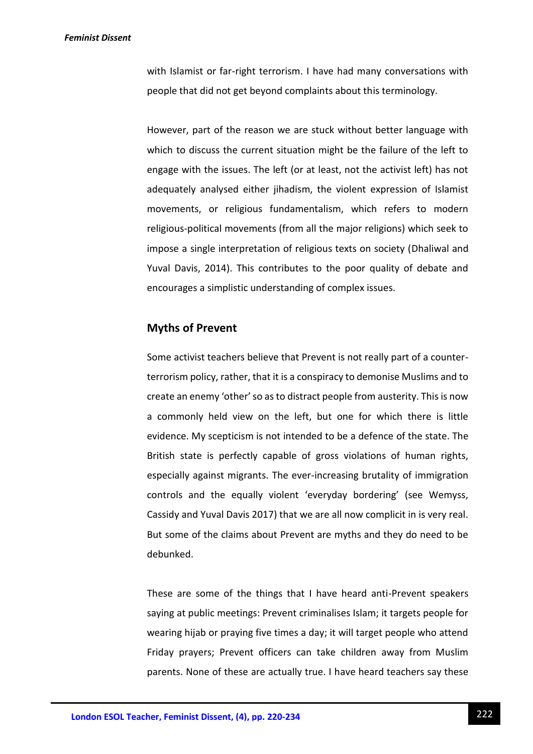with Islamist or far-right terrorism. I have had many conversations with people that did not get beyond complaints about this terminology.

However, part of the reason we are stuck without better language with which to discuss the current situation might be the failure of the left to engage with the issues. The left (or at least, not the activist left) has not adequately analysed either jihadism, the violent expression of Islamist movements, or religious fundamentalism, which refers to modern religious-political movements (from all the major religions) which seek to impose a single interpretation of religious texts on society (Dhaliwal and Yuval Davis, 2014). This contributes to the poor quality of debate and encourages a simplistic understanding of complex issues.

# **Myths of Prevent**

Some activist teachers believe that Prevent is not really part of a counterterrorism policy, rather, that it is a conspiracy to demonise Muslims and to create an enemy 'other' so as to distract people from austerity. This is now a commonly held view on the left, but one for which there is little evidence. My scepticism is not intended to be a defence of the state. The British state is perfectly capable of gross violations of human rights, especially against migrants. The ever-increasing brutality of immigration controls and the equally violent 'everyday bordering' (see Wemyss, Cassidy and Yuval Davis 2017) that we are all now complicit in is very real. But some of the claims about Prevent are myths and they do need to be debunked.

These are some of the things that I have heard anti-Prevent speakers saying at public meetings: Prevent criminalises Islam; it targets people for wearing hijab or praying five times a day; it will target people who attend Friday prayers; Prevent officers can take children away from Muslim parents. None of these are actually true. I have heard teachers say these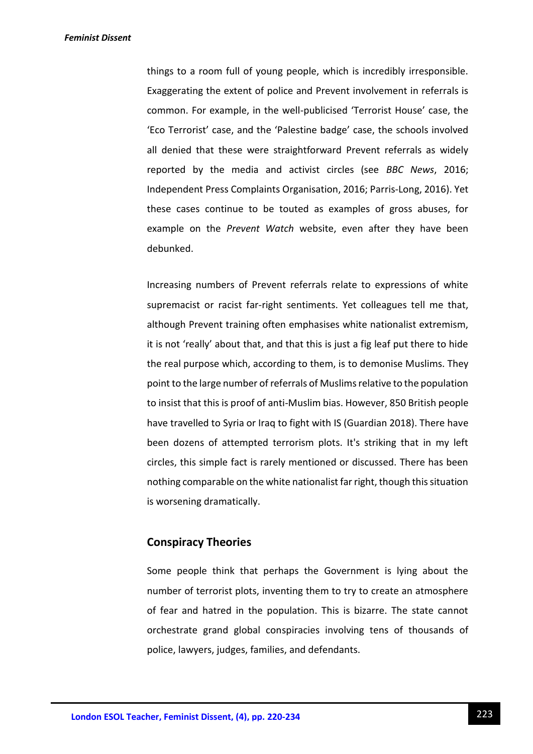things to a room full of young people, which is incredibly irresponsible. Exaggerating the extent of police and Prevent involvement in referrals is common. For example, in the well-publicised 'Terrorist House' case, the 'Eco Terrorist' case, and the 'Palestine badge' case, the schools involved all denied that these were straightforward Prevent referrals as widely reported by the media and activist circles (see *BBC News*, 2016; Independent Press Complaints Organisation, 2016; Parris-Long, 2016). Yet these cases continue to be touted as examples of gross abuses, for example on the *Prevent Watch* website, even after they have been debunked.

Increasing numbers of Prevent referrals relate to expressions of white supremacist or racist far-right sentiments. Yet colleagues tell me that, although Prevent training often emphasises white nationalist extremism, it is not 'really' about that, and that this is just a fig leaf put there to hide the real purpose which, according to them, is to demonise Muslims. They point to the large number of referrals of Muslims relative to the population to insist that this is proof of anti-Muslim bias. However, 850 British people have travelled to Syria or Iraq to fight with IS (Guardian 2018). There have been dozens of attempted terrorism plots. It's striking that in my left circles, this simple fact is rarely mentioned or discussed. There has been nothing comparable on the white nationalist far right, though this situation is worsening dramatically.

## **Conspiracy Theories**

Some people think that perhaps the Government is lying about the number of terrorist plots, inventing them to try to create an atmosphere of fear and hatred in the population. This is bizarre. The state cannot orchestrate grand global conspiracies involving tens of thousands of police, lawyers, judges, families, and defendants.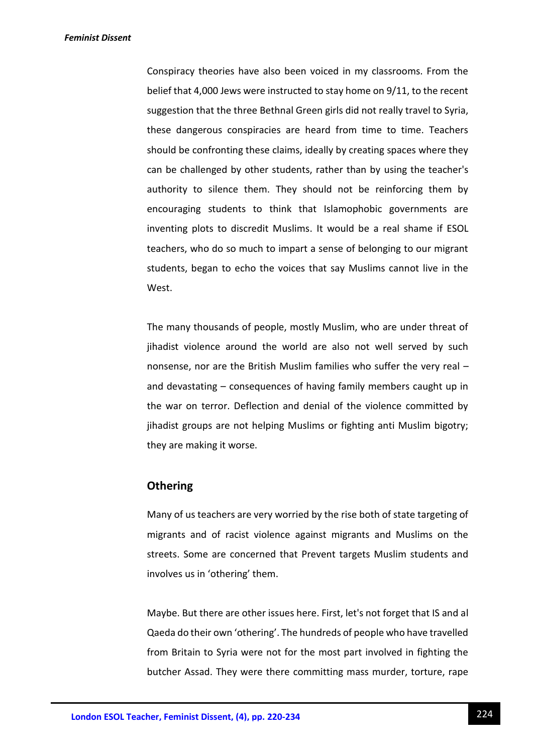Conspiracy theories have also been voiced in my classrooms. From the belief that 4,000 Jews were instructed to stay home on 9/11, to the recent suggestion that the three Bethnal Green girls did not really travel to Syria, these dangerous conspiracies are heard from time to time. Teachers should be confronting these claims, ideally by creating spaces where they can be challenged by other students, rather than by using the teacher's authority to silence them. They should not be reinforcing them by encouraging students to think that Islamophobic governments are inventing plots to discredit Muslims. It would be a real shame if ESOL teachers, who do so much to impart a sense of belonging to our migrant students, began to echo the voices that say Muslims cannot live in the West.

The many thousands of people, mostly Muslim, who are under threat of jihadist violence around the world are also not well served by such nonsense, nor are the British Muslim families who suffer the very real – and devastating – consequences of having family members caught up in the war on terror. Deflection and denial of the violence committed by jihadist groups are not helping Muslims or fighting anti Muslim bigotry; they are making it worse.

# **Othering**

Many of us teachers are very worried by the rise both of state targeting of migrants and of racist violence against migrants and Muslims on the streets. Some are concerned that Prevent targets Muslim students and involves us in 'othering' them.

Maybe. But there are other issues here. First, let's not forget that IS and al Qaeda do their own 'othering'. The hundreds of people who have travelled from Britain to Syria were not for the most part involved in fighting the butcher Assad. They were there committing mass murder, torture, rape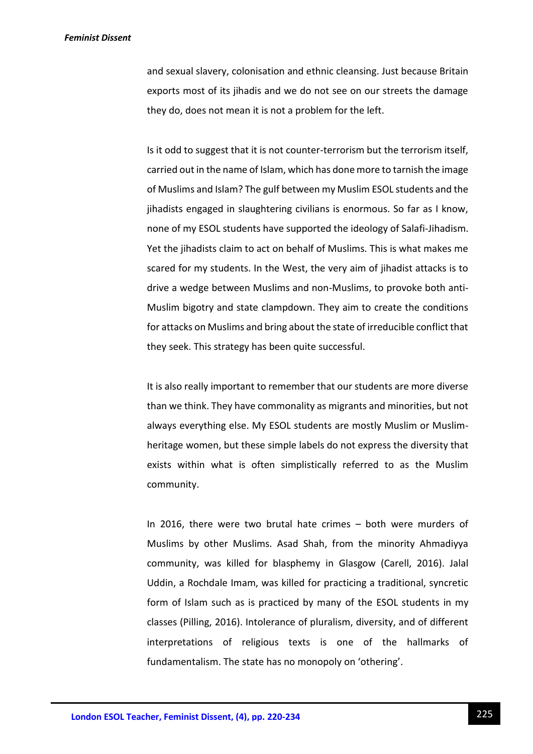and sexual slavery, colonisation and ethnic cleansing. Just because Britain exports most of its jihadis and we do not see on our streets the damage they do, does not mean it is not a problem for the left.

Is it odd to suggest that it is not counter-terrorism but the terrorism itself, carried out in the name of Islam, which has done more to tarnish the image of Muslims and Islam? The gulf between my Muslim ESOL students and the jihadists engaged in slaughtering civilians is enormous. So far as I know, none of my ESOL students have supported the ideology of Salafi-Jihadism. Yet the jihadists claim to act on behalf of Muslims. This is what makes me scared for my students. In the West, the very aim of jihadist attacks is to drive a wedge between Muslims and non-Muslims, to provoke both anti-Muslim bigotry and state clampdown. They aim to create the conditions for attacks on Muslims and bring about the state of irreducible conflict that they seek. This strategy has been quite successful.

It is also really important to remember that our students are more diverse than we think. They have commonality as migrants and minorities, but not always everything else. My ESOL students are mostly Muslim or Muslimheritage women, but these simple labels do not express the diversity that exists within what is often simplistically referred to as the Muslim community.

In 2016, there were two brutal hate crimes – both were murders of Muslims by other Muslims. Asad Shah, from the minority Ahmadiyya community, was killed for blasphemy in Glasgow (Carell, 2016). Jalal Uddin, a Rochdale Imam, was killed for practicing a traditional, syncretic form of Islam such as is practiced by many of the ESOL students in my classes (Pilling, 2016). Intolerance of pluralism, diversity, and of different interpretations of religious texts is one of the hallmarks of fundamentalism. The state has no monopoly on 'othering'.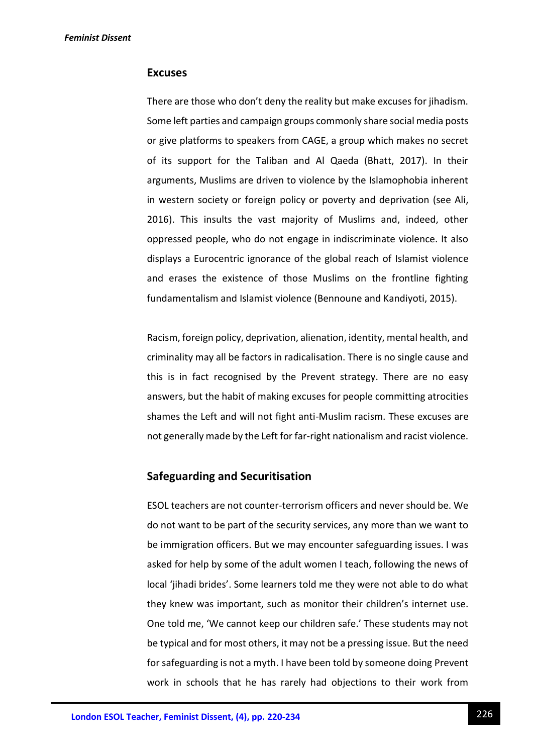## **Excuses**

There are those who don't deny the reality but make excuses for jihadism. Some left parties and campaign groups commonly share social media posts or give platforms to speakers from CAGE, a group which makes no secret of its support for the Taliban and Al Qaeda (Bhatt, 2017). In their arguments, Muslims are driven to violence by the Islamophobia inherent in western society or foreign policy or poverty and deprivation (see Ali, 2016). This insults the vast majority of Muslims and, indeed, other oppressed people, who do not engage in indiscriminate violence. It also displays a Eurocentric ignorance of the global reach of Islamist violence and erases the existence of those Muslims on the frontline fighting fundamentalism and Islamist violence (Bennoune and Kandiyoti, 2015).

Racism, foreign policy, deprivation, alienation, identity, mental health, and criminality may all be factors in radicalisation. There is no single cause and this is in fact recognised by the Prevent strategy. There are no easy answers, but the habit of making excuses for people committing atrocities shames the Left and will not fight anti-Muslim racism. These excuses are not generally made by the Left for far-right nationalism and racist violence.

# **Safeguarding and Securitisation**

ESOL teachers are not counter-terrorism officers and never should be. We do not want to be part of the security services, any more than we want to be immigration officers. But we may encounter safeguarding issues. I was asked for help by some of the adult women I teach, following the news of local 'jihadi brides'. Some learners told me they were not able to do what they knew was important, such as monitor their children's internet use. One told me, 'We cannot keep our children safe.' These students may not be typical and for most others, it may not be a pressing issue. But the need for safeguarding is not a myth. I have been told by someone doing Prevent work in schools that he has rarely had objections to their work from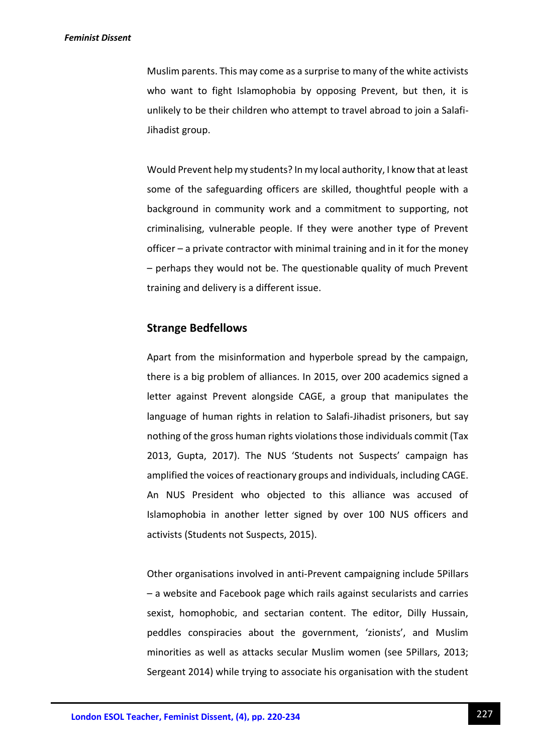Muslim parents. This may come as a surprise to many of the white activists who want to fight Islamophobia by opposing Prevent, but then, it is unlikely to be their children who attempt to travel abroad to join a Salafi-Jihadist group.

Would Prevent help my students? In my local authority, I know that at least some of the safeguarding officers are skilled, thoughtful people with a background in community work and a commitment to supporting, not criminalising, vulnerable people. If they were another type of Prevent officer – a private contractor with minimal training and in it for the money – perhaps they would not be. The questionable quality of much Prevent training and delivery is a different issue.

## **Strange Bedfellows**

Apart from the misinformation and hyperbole spread by the campaign, there is a big problem of alliances. In 2015, over 200 academics signed a letter against Prevent alongside CAGE, a group that manipulates the language of human rights in relation to Salafi-Jihadist prisoners, but say nothing of the gross human rights violations those individuals commit (Tax 2013, Gupta, 2017). The NUS 'Students not Suspects' campaign has amplified the voices of reactionary groups and individuals, including CAGE. An NUS President who objected to this alliance was accused of Islamophobia in another letter signed by over 100 NUS officers and activists (Students not Suspects, 2015).

Other organisations involved in anti-Prevent campaigning include 5Pillars – a website and Facebook page which rails against secularists and carries sexist, homophobic, and sectarian content. The editor, Dilly Hussain, peddles conspiracies about the government, 'zionists', and Muslim minorities as well as attacks secular Muslim women (see 5Pillars, 2013; Sergeant 2014) while trying to associate his organisation with the student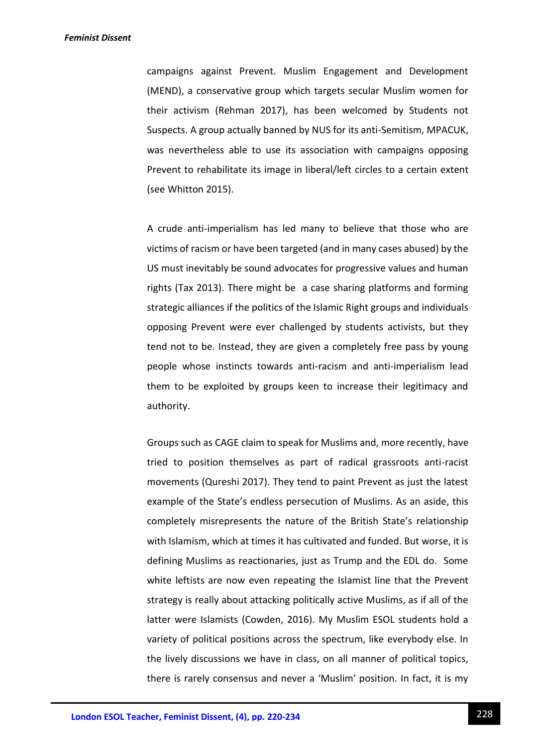campaigns against Prevent. Muslim Engagement and Development (MEND), a conservative group which targets secular Muslim women for their activism (Rehman 2017), has been welcomed by Students not Suspects. A group actually banned by NUS for its anti-Semitism, MPACUK, was nevertheless able to use its association with campaigns opposing Prevent to rehabilitate its image in liberal/left circles to a certain extent (see Whitton 2015).

A crude anti-imperialism has led many to believe that those who are victims of racism or have been targeted (and in many cases abused) by the US must inevitably be sound advocates for progressive values and human rights (Tax 2013). There might be a case sharing platforms and forming strategic alliances if the politics of the Islamic Right groups and individuals opposing Prevent were ever challenged by students activists, but they tend not to be. Instead, they are given a completely free pass by young people whose instincts towards anti-racism and anti-imperialism lead them to be exploited by groups keen to increase their legitimacy and authority.

Groups such as CAGE claim to speak for Muslims and, more recently, have tried to position themselves as part of radical grassroots anti-racist movements (Qureshi 2017). They tend to paint Prevent as just the latest example of the State's endless persecution of Muslims. As an aside, this completely misrepresents the nature of the British State's relationship with Islamism, which at times it has cultivated and funded. But worse, it is defining Muslims as reactionaries, just as Trump and the EDL do. Some white leftists are now even repeating the Islamist line that the Prevent strategy is really about attacking politically active Muslims, as if all of the latter were Islamists (Cowden, 2016). My Muslim ESOL students hold a variety of political positions across the spectrum, like everybody else. In the lively discussions we have in class, on all manner of political topics, there is rarely consensus and never a 'Muslim' position. In fact, it is my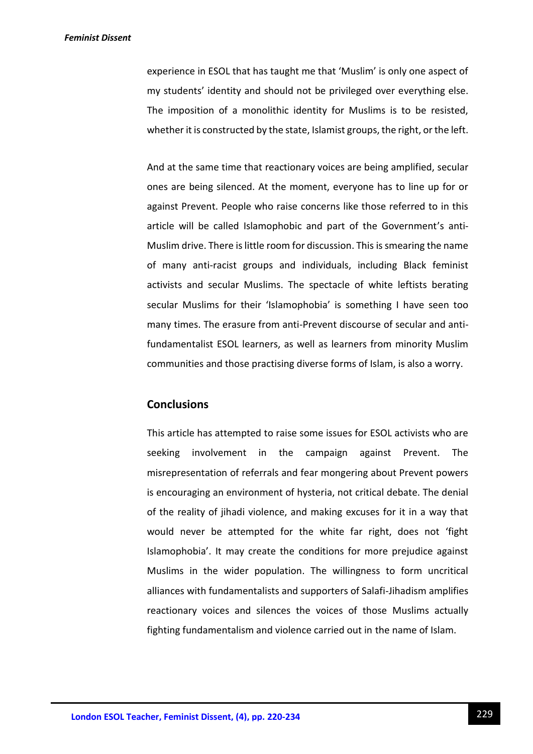experience in ESOL that has taught me that 'Muslim' is only one aspect of my students' identity and should not be privileged over everything else. The imposition of a monolithic identity for Muslims is to be resisted, whether it is constructed by the state, Islamist groups, the right, or the left.

And at the same time that reactionary voices are being amplified, secular ones are being silenced. At the moment, everyone has to line up for or against Prevent. People who raise concerns like those referred to in this article will be called Islamophobic and part of the Government's anti-Muslim drive. There is little room for discussion. This is smearing the name of many anti-racist groups and individuals, including Black feminist activists and secular Muslims. The spectacle of white leftists berating secular Muslims for their 'Islamophobia' is something I have seen too many times. The erasure from anti-Prevent discourse of secular and antifundamentalist ESOL learners, as well as learners from minority Muslim communities and those practising diverse forms of Islam, is also a worry.

# **Conclusions**

This article has attempted to raise some issues for ESOL activists who are seeking involvement in the campaign against Prevent. The misrepresentation of referrals and fear mongering about Prevent powers is encouraging an environment of hysteria, not critical debate. The denial of the reality of jihadi violence, and making excuses for it in a way that would never be attempted for the white far right, does not 'fight Islamophobia'. It may create the conditions for more prejudice against Muslims in the wider population. The willingness to form uncritical alliances with fundamentalists and supporters of Salafi-Jihadism amplifies reactionary voices and silences the voices of those Muslims actually fighting fundamentalism and violence carried out in the name of Islam.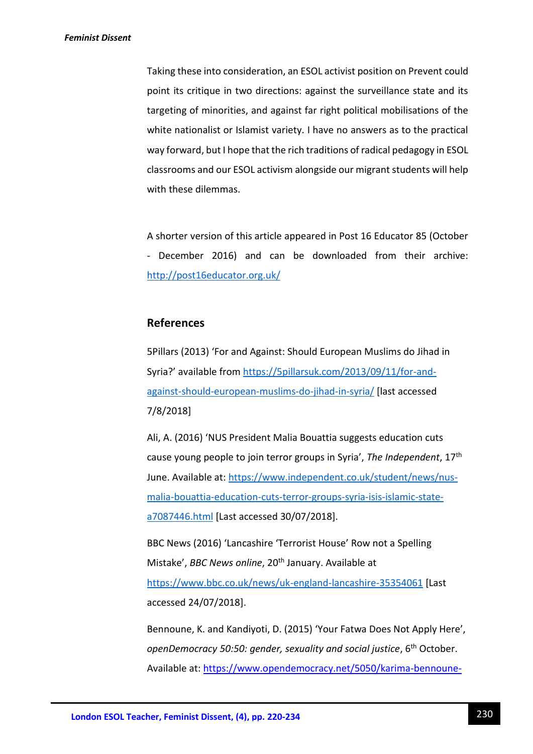Taking these into consideration, an ESOL activist position on Prevent could point its critique in two directions: against the surveillance state and its targeting of minorities, and against far right political mobilisations of the white nationalist or Islamist variety. I have no answers as to the practical way forward, but I hope that the rich traditions of radical pedagogy in ESOL classrooms and our ESOL activism alongside our migrant students will help with these dilemmas.

A shorter version of this article appeared in Post 16 Educator 85 (October - December 2016) and can be downloaded from their archive: <http://post16educator.org.uk/>

## **References**

5Pillars (2013) 'For and Against: Should European Muslims do Jihad in Syria?' available from [https://5pillarsuk.com/2013/09/11/for-and](https://5pillarsuk.com/2013/09/11/for-and-against-should-european-muslims-do-jihad-in-syria/)[against-should-european-muslims-do-jihad-in-syria/](https://5pillarsuk.com/2013/09/11/for-and-against-should-european-muslims-do-jihad-in-syria/) [last accessed 7/8/2018]

Ali, A. (2016) 'NUS President Malia Bouattia suggests education cuts cause young people to join terror groups in Syria', *The Independent*, 17th June. Available at: [https://www.independent.co.uk/student/news/nus](https://www.independent.co.uk/student/news/nus-malia-bouattia-education-cuts-terror-groups-syria-isis-islamic-state-a7087446.html)[malia-bouattia-education-cuts-terror-groups-syria-isis-islamic-state](https://www.independent.co.uk/student/news/nus-malia-bouattia-education-cuts-terror-groups-syria-isis-islamic-state-a7087446.html)[a7087446.html](https://www.independent.co.uk/student/news/nus-malia-bouattia-education-cuts-terror-groups-syria-isis-islamic-state-a7087446.html) [Last accessed 30/07/2018].

BBC News (2016) 'Lancashire 'Terrorist House' Row not a Spelling Mistake', *BBC News online*, 20<sup>th</sup> January. Available at <https://www.bbc.co.uk/news/uk-england-lancashire-35354061> [Last accessed 24/07/2018].

Bennoune, K. and Kandiyoti, D. (2015) 'Your Fatwa Does Not Apply Here', *openDemocracy 50:50: gender, sexuality and social justice*, 6th October. Available at: [https://www.opendemocracy.net/5050/karima-bennoune-](https://www.opendemocracy.net/5050/karima-bennoune-deniz-kandiyoti/your-fatwa-does-not-apply-here)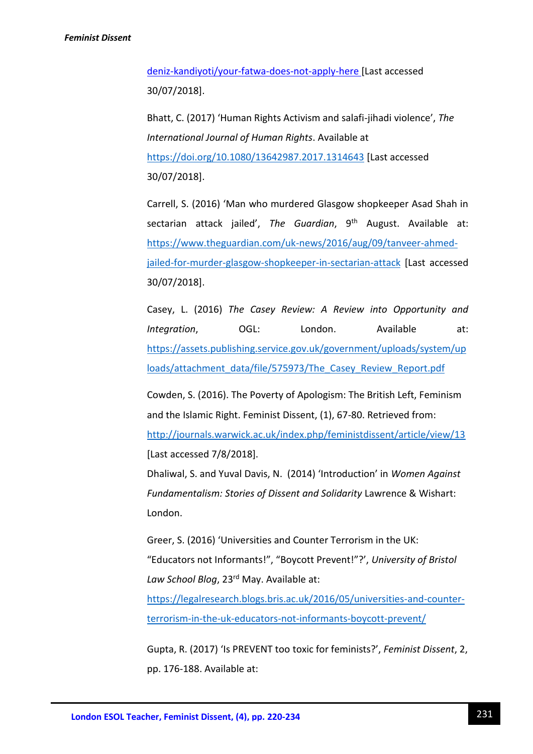[deniz-kandiyoti/your-fatwa-does-not-apply-here](https://www.opendemocracy.net/5050/karima-bennoune-deniz-kandiyoti/your-fatwa-does-not-apply-here) [Last accessed 30/07/2018].

Bhatt, C. (2017) 'Human Rights Activism and salafi-jihadi violence', *The International Journal of Human Rights*. Available at <https://doi.org/10.1080/13642987.2017.1314643> [Last accessed 30/07/2018].

Carrell, S. (2016) 'Man who murdered Glasgow shopkeeper Asad Shah in sectarian attack jailed', The Guardian, 9<sup>th</sup> August. Available at: [https://www.theguardian.com/uk-news/2016/aug/09/tanveer-ahmed](https://www.theguardian.com/uk-news/2016/aug/09/tanveer-ahmed-jailed-for-murder-glasgow-shopkeeper-in-sectarian-attack)[jailed-for-murder-glasgow-shopkeeper-in-sectarian-attack](https://www.theguardian.com/uk-news/2016/aug/09/tanveer-ahmed-jailed-for-murder-glasgow-shopkeeper-in-sectarian-attack) [Last accessed 30/07/2018].

Casey, L. (2016) *The Casey Review: A Review into Opportunity and Integration*, OGL: London. Available at: [https://assets.publishing.service.gov.uk/government/uploads/system/up](https://assets.publishing.service.gov.uk/government/uploads/system/uploads/attachment_data/file/575973/The_Casey_Review_Report.pdf) [loads/attachment\\_data/file/575973/The\\_Casey\\_Review\\_Report.pdf](https://assets.publishing.service.gov.uk/government/uploads/system/uploads/attachment_data/file/575973/The_Casey_Review_Report.pdf)

Cowden, S. (2016). The Poverty of Apologism: The British Left, Feminism and the Islamic Right. Feminist Dissent, (1), 67-80. Retrieved from: <http://journals.warwick.ac.uk/index.php/feministdissent/article/view/13> [Last accessed 7/8/2018].

Dhaliwal, S. and Yuval Davis, N. (2014) 'Introduction' in *Women Against Fundamentalism: Stories of Dissent and Solidarity* Lawrence & Wishart: London.

Greer, S. (2016) 'Universities and Counter Terrorism in the UK: "Educators not Informants!", "Boycott Prevent!"?', *University of Bristol Law School Blog*, 23rd May. Available at:

[https://legalresearch.blogs.bris.ac.uk/2016/05/universities-and-counter](https://legalresearch.blogs.bris.ac.uk/2016/05/universities-and-counter-terrorism-in-the-uk-educators-not-informants-boycott-prevent/)[terrorism-in-the-uk-educators-not-informants-boycott-prevent/](https://legalresearch.blogs.bris.ac.uk/2016/05/universities-and-counter-terrorism-in-the-uk-educators-not-informants-boycott-prevent/)

Gupta, R. (2017) 'Is PREVENT too toxic for feminists?', *Feminist Dissent*, 2, pp. 176-188. Available at: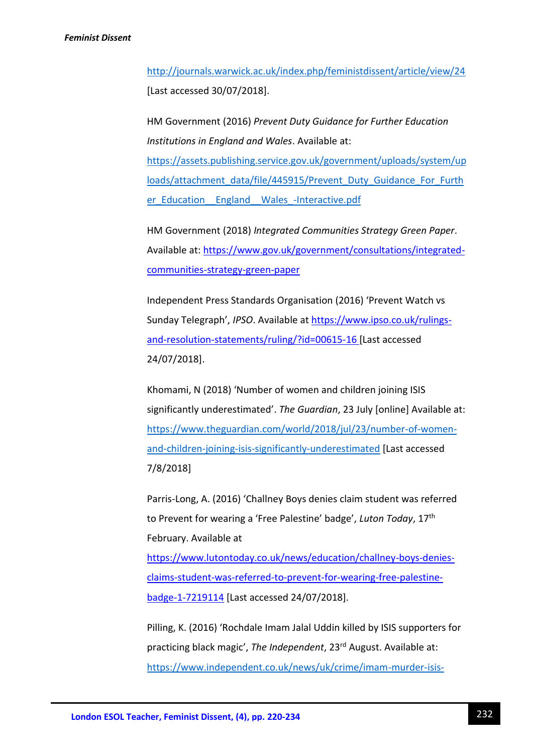<http://journals.warwick.ac.uk/index.php/feministdissent/article/view/24> [Last accessed 30/07/2018].

HM Government (2016) *Prevent Duty Guidance for Further Education Institutions in England and Wales*. Available at: [https://assets.publishing.service.gov.uk/government/uploads/system/up](https://assets.publishing.service.gov.uk/government/uploads/system/uploads/attachment_data/file/445915/Prevent_Duty_Guidance_For_Further_Education__England__Wales_-Interactive.pdf) [loads/attachment\\_data/file/445915/Prevent\\_Duty\\_Guidance\\_For\\_Furth](https://assets.publishing.service.gov.uk/government/uploads/system/uploads/attachment_data/file/445915/Prevent_Duty_Guidance_For_Further_Education__England__Wales_-Interactive.pdf) er Education England Wales -Interactive.pdf

HM Government (2018) *Integrated Communities Strategy Green Paper*. Available at: [https://www.gov.uk/government/consultations/integrated](https://www.gov.uk/government/consultations/integrated-communities-strategy-green-paper)[communities-strategy-green-paper](https://www.gov.uk/government/consultations/integrated-communities-strategy-green-paper) 

Independent Press Standards Organisation (2016) 'Prevent Watch vs Sunday Telegraph', *IPSO*. Available a[t https://www.ipso.co.uk/rulings](https://www.ipso.co.uk/rulings-and-resolution-statements/ruling/?id=00615-16)[and-resolution-statements/ruling/?id=00615-16](https://www.ipso.co.uk/rulings-and-resolution-statements/ruling/?id=00615-16) [Last accessed 24/07/2018].

Khomami, N (2018) 'Number of women and children joining ISIS significantly underestimated'. *The Guardian*, 23 July [online] Available at: [https://www.theguardian.com/world/2018/jul/23/number-of-women](https://www.theguardian.com/world/2018/jul/23/number-of-women-and-children-joining-isis-significantly-underestimated)[and-children-joining-isis-significantly-underestimated](https://www.theguardian.com/world/2018/jul/23/number-of-women-and-children-joining-isis-significantly-underestimated) [Last accessed 7/8/2018]

Parris-Long, A. (2016) 'Challney Boys denies claim student was referred to Prevent for wearing a 'Free Palestine' badge', *Luton Today*, 17th February. Available at

[https://www.lutontoday.co.uk/news/education/challney-boys-denies](https://www.lutontoday.co.uk/news/education/challney-boys-denies-claims-student-was-referred-to-prevent-for-wearing-free-palestine-badge-1-7219114)[claims-student-was-referred-to-prevent-for-wearing-free-palestine](https://www.lutontoday.co.uk/news/education/challney-boys-denies-claims-student-was-referred-to-prevent-for-wearing-free-palestine-badge-1-7219114)[badge-1-7219114](https://www.lutontoday.co.uk/news/education/challney-boys-denies-claims-student-was-referred-to-prevent-for-wearing-free-palestine-badge-1-7219114) [Last accessed 24/07/2018].

Pilling, K. (2016) 'Rochdale Imam Jalal Uddin killed by ISIS supporters for practicing black magic', *The Independent*, 23rd August. Available at: [https://www.independent.co.uk/news/uk/crime/imam-murder-isis-](https://www.independent.co.uk/news/uk/crime/imam-murder-isis-supporters-rochdale-latest-jalal-uddin-death-black-magic-isil-islamic-state-a7205146.html)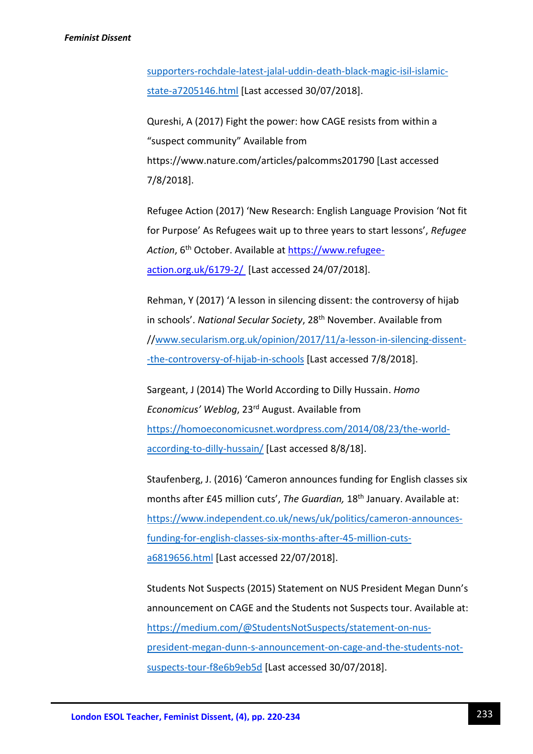[supporters-rochdale-latest-jalal-uddin-death-black-magic-isil-islamic](https://www.independent.co.uk/news/uk/crime/imam-murder-isis-supporters-rochdale-latest-jalal-uddin-death-black-magic-isil-islamic-state-a7205146.html)[state-a7205146.html](https://www.independent.co.uk/news/uk/crime/imam-murder-isis-supporters-rochdale-latest-jalal-uddin-death-black-magic-isil-islamic-state-a7205146.html) [Last accessed 30/07/2018].

Qureshi, A (2017) Fight the power: how CAGE resists from within a "suspect community" Available from https://www.nature.com/articles/palcomms201790 [Last accessed 7/8/2018].

Refugee Action (2017) 'New Research: English Language Provision 'Not fit for Purpose' As Refugees wait up to three years to start lessons', *Refugee*  Action, 6<sup>th</sup> October. Available at [https://www.refugee](https://www.refugee-action.org.uk/6179-2/)[action.org.uk/6179-2/](https://www.refugee-action.org.uk/6179-2/) [Last accessed 24/07/2018].

Rehman, Y (2017) 'A lesson in silencing dissent: the controversy of hijab in schools'. *National Secular Society*, 28th November. Available from /[/www.secularism.org.uk/opinion/2017/11/a-lesson-in-silencing-dissent-](http://www.secularism.org.uk/opinion/2017/11/a-lesson-in-silencing-dissent--the-controversy-of-hijab-in-schools) [-the-controversy-of-hijab-in-schools](http://www.secularism.org.uk/opinion/2017/11/a-lesson-in-silencing-dissent--the-controversy-of-hijab-in-schools) [Last accessed 7/8/2018].

Sargeant, J (2014) The World According to Dilly Hussain. *Homo Economicus' Weblog*, 23rd August. Available from [https://homoeconomicusnet.wordpress.com/2014/08/23/the-world](https://homoeconomicusnet.wordpress.com/2014/08/23/the-world-according-to-dilly-hussain/)[according-to-dilly-hussain/](https://homoeconomicusnet.wordpress.com/2014/08/23/the-world-according-to-dilly-hussain/) [Last accessed 8/8/18].

Staufenberg, J. (2016) 'Cameron announces funding for English classes six months after £45 million cuts', *The Guardian,* 18th January. Available at: [https://www.independent.co.uk/news/uk/politics/cameron-announces](https://www.independent.co.uk/news/uk/politics/cameron-announces-funding-for-english-classes-six-months-after-45-million-cuts-a6819656.html)[funding-for-english-classes-six-months-after-45-million-cuts](https://www.independent.co.uk/news/uk/politics/cameron-announces-funding-for-english-classes-six-months-after-45-million-cuts-a6819656.html)[a6819656.html](https://www.independent.co.uk/news/uk/politics/cameron-announces-funding-for-english-classes-six-months-after-45-million-cuts-a6819656.html) [Last accessed 22/07/2018].

Students Not Suspects (2015) Statement on NUS President Megan Dunn's announcement on CAGE and the Students not Suspects tour. Available at: [https://medium.com/@StudentsNotSuspects/statement-on-nus](https://medium.com/@StudentsNotSuspects/statement-on-nus-president-megan-dunn-s-announcement-on-cage-and-the-students-not-suspects-tour-f8e6b9eb5d)[president-megan-dunn-s-announcement-on-cage-and-the-students-not](https://medium.com/@StudentsNotSuspects/statement-on-nus-president-megan-dunn-s-announcement-on-cage-and-the-students-not-suspects-tour-f8e6b9eb5d)[suspects-tour-f8e6b9eb5d](https://medium.com/@StudentsNotSuspects/statement-on-nus-president-megan-dunn-s-announcement-on-cage-and-the-students-not-suspects-tour-f8e6b9eb5d) [Last accessed 30/07/2018].